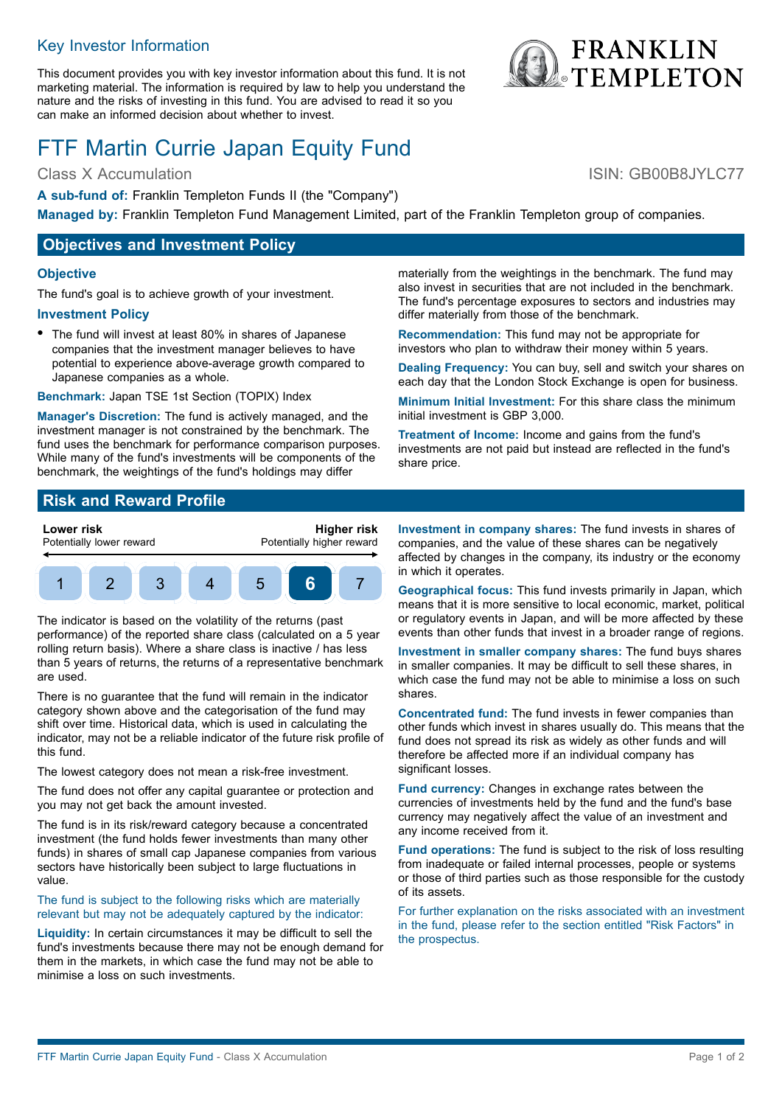## Key Investor Information

This document provides you with key investor information about this fund. It is not marketing material. The information is required by law to help you understand the nature and the risks of investing in this fund. You are advised to read it so you can make an informed decision about whether to invest.

# FTF Martin Currie Japan Equity Fund

## Class X Accumulation **ISIN: GB00B8JYLC77**

**A sub-fund of:** Franklin Templeton Funds II (the "Company")

**Managed by:** Franklin Templeton Fund Management Limited, part of the Franklin Templeton group of companies.

## **Objectives and Investment Policy**

#### **Objective**

The fund's goal is to achieve growth of your investment.

## **Investment Policy**

• The fund will invest at least 80% in shares of Japanese companies that the investment manager believes to have potential to experience above-average growth compared to Japanese companies as a whole.

#### **Benchmark:** Japan TSE 1st Section (TOPIX) Index

**Manager's Discretion:** The fund is actively managed, and the investment manager is not constrained by the benchmark. The fund uses the benchmark for performance comparison purposes. While many of the fund's investments will be components of the benchmark, the weightings of the fund's holdings may differ

materially from the weightings in the benchmark. The fund may also invest in securities that are not included in the benchmark. The fund's percentage exposures to sectors and industries may differ materially from those of the benchmark.

**Recommendation:** This fund may not be appropriate for investors who plan to withdraw their money within 5 years.

**Dealing Frequency:** You can buy, sell and switch your shares on each day that the London Stock Exchange is open for business.

**Minimum Initial Investment:** For this share class the minimum initial investment is GBP 3,000.

**Treatment of Income:** Income and gains from the fund's investments are not paid but instead are reflected in the fund's share price.

## **Risk and Reward Profile**

**Lower risk** Potentially lower reward

**Higher risk** Potentially higher reward



The indicator is based on the volatility of the returns (past performance) of the reported share class (calculated on a 5 year rolling return basis). Where a share class is inactive / has less than 5 years of returns, the returns of a representative benchmark are used.

There is no guarantee that the fund will remain in the indicator category shown above and the categorisation of the fund may shift over time. Historical data, which is used in calculating the indicator, may not be a reliable indicator of the future risk profile of this fund.

The lowest category does not mean a risk-free investment.

The fund does not offer any capital guarantee or protection and you may not get back the amount invested.

The fund is in its risk/reward category because a concentrated investment (the fund holds fewer investments than many other funds) in shares of small cap Japanese companies from various sectors have historically been subject to large fluctuations in value.

The fund is subject to the following risks which are materially relevant but may not be adequately captured by the indicator:

**Liquidity:** In certain circumstances it may be difficult to sell the fund's investments because there may not be enough demand for them in the markets, in which case the fund may not be able to minimise a loss on such investments.

**Investment in company shares:** The fund invests in shares of companies, and the value of these shares can be negatively affected by changes in the company, its industry or the economy in which it operates.

**Geographical focus:** This fund invests primarily in Japan, which means that it is more sensitive to local economic, market, political or regulatory events in Japan, and will be more affected by these events than other funds that invest in a broader range of regions.

**Investment in smaller company shares:** The fund buys shares in smaller companies. It may be difficult to sell these shares, in which case the fund may not be able to minimise a loss on such shares.

**Concentrated fund:** The fund invests in fewer companies than other funds which invest in shares usually do. This means that the fund does not spread its risk as widely as other funds and will therefore be affected more if an individual company has significant losses.

**Fund currency:** Changes in exchange rates between the currencies of investments held by the fund and the fund's base currency may negatively affect the value of an investment and any income received from it.

**Fund operations:** The fund is subject to the risk of loss resulting from inadequate or failed internal processes, people or systems or those of third parties such as those responsible for the custody of its assets.

For further explanation on the risks associated with an investment in the fund, please refer to the section entitled "Risk Factors" in the prospectus.